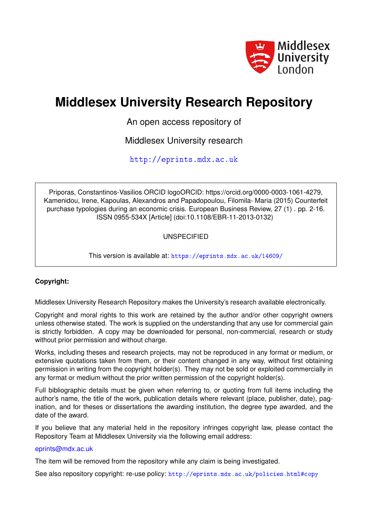

# **Middlesex University Research Repository**

An open access repository of

Middlesex University research

<http://eprints.mdx.ac.uk>

Priporas, Constantinos-Vasilios ORCID logoORCID: https://orcid.org/0000-0003-1061-4279, Kamenidou, Irene, Kapoulas, Alexandros and Papadopoulou, Filomila- Maria (2015) Counterfeit purchase typologies during an economic crisis. European Business Review, 27 (1) . pp. 2-16. ISSN 0955-534X [Article] (doi:10.1108/EBR-11-2013-0132)

UNSPECIFIED

This version is available at: <https://eprints.mdx.ac.uk/14609/>

# **Copyright:**

Middlesex University Research Repository makes the University's research available electronically.

Copyright and moral rights to this work are retained by the author and/or other copyright owners unless otherwise stated. The work is supplied on the understanding that any use for commercial gain is strictly forbidden. A copy may be downloaded for personal, non-commercial, research or study without prior permission and without charge.

Works, including theses and research projects, may not be reproduced in any format or medium, or extensive quotations taken from them, or their content changed in any way, without first obtaining permission in writing from the copyright holder(s). They may not be sold or exploited commercially in any format or medium without the prior written permission of the copyright holder(s).

Full bibliographic details must be given when referring to, or quoting from full items including the author's name, the title of the work, publication details where relevant (place, publisher, date), pagination, and for theses or dissertations the awarding institution, the degree type awarded, and the date of the award.

If you believe that any material held in the repository infringes copyright law, please contact the Repository Team at Middlesex University via the following email address:

# [eprints@mdx.ac.uk](mailto:eprints@mdx.ac.uk)

The item will be removed from the repository while any claim is being investigated.

See also repository copyright: re-use policy: <http://eprints.mdx.ac.uk/policies.html#copy>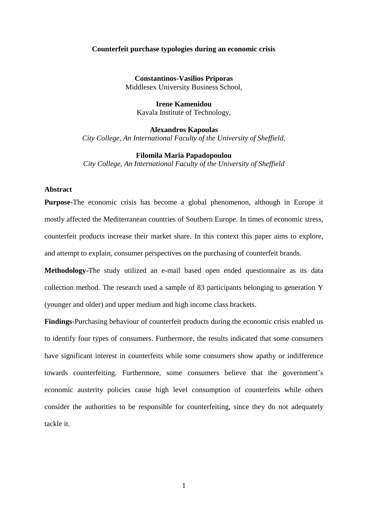## **Counterfeit purchase typologies during an economic crisis**

**Constantinos-Vasilios Priporas** Middlesex University Business School,

**Irene Kamenidou**  Kavala Institute of Technology,

**Alexandros Kapoulas** *City College, An International Faculty of the University of Sheffield,* 

**Filomila Maria Papadopoulou** *City College, An International Faculty of the University of Sheffield*

# **Abstract**

**Purpose-**The economic crisis has become a global phenomenon, although in Europe it mostly affected the Mediterranean countries of Southern Europe. In times of economic stress, counterfeit products increase their market share. In this context this paper aims to explore, and attempt to explain, consumer perspectives on the purchasing of counterfeit brands.

**Methodology-**The study utilized an e-mail based open ended questionnaire as its data collection method. The research used a sample of 83 participants belonging to generation Y (younger and older) and upper medium and high income class brackets.

**Findings**-Purchasing behaviour of counterfeit products during the economic crisis enabled us to identify four types of consumers. Furthermore, the results indicated that some consumers have significant interest in counterfeits while some consumers show apathy or indifference towards counterfeiting. Furthermore, some consumers believe that the government's economic austerity policies cause high level consumption of counterfeits while others consider the authorities to be responsible for counterfeiting, since they do not adequately tackle it.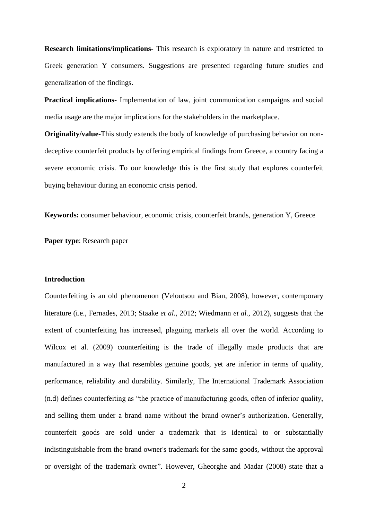**Research limitations/implications-** This research is exploratory in nature and restricted to Greek generation Y consumers. Suggestions are presented regarding future studies and generalization of the findings.

**Practical implications-** Implementation of law, joint communication campaigns and social media usage are the major implications for the stakeholders in the marketplace.

**Originality/value-**This study extends the body of knowledge of purchasing behavior on nondeceptive counterfeit products by offering empirical findings from Greece, a country facing a severe economic crisis. To our knowledge this is the first study that explores counterfeit buying behaviour during an economic crisis period.

**Keywords:** consumer behaviour, economic crisis, counterfeit brands, generation Y, Greece

**Paper type**: Research paper

#### **Introduction**

Counterfeiting is an old phenomenon (Veloutsou and Bian, 2008), however, contemporary literature (i.e., Fernades, 2013; Staake *et al.*, 2012; Wiedmann *et al.,* 2012), suggests that the extent of counterfeiting has increased, plaguing markets all over the world. According to Wilcox et al. (2009) counterfeiting is the trade of illegally made products that are manufactured in a way that resembles genuine goods, yet are inferior in terms of quality, performance, reliability and durability. Similarly, The International Trademark Association (n.d) defines counterfeiting as "the practice of manufacturing goods, often of inferior quality, and selling them under a brand name without the brand owner's authorization. Generally, counterfeit goods are sold under a trademark that is identical to or substantially indistinguishable from the brand owner's trademark for the same goods, without the approval or oversight of the trademark owner". However, Gheorghe and Madar (2008) state that a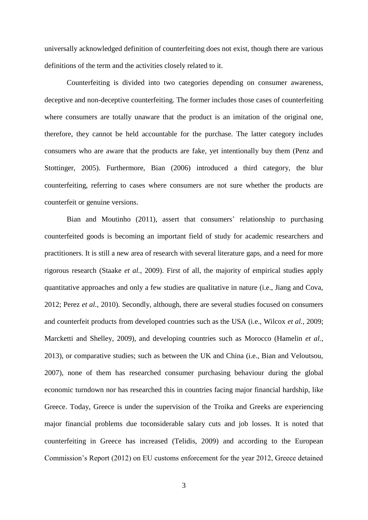universally acknowledged definition of counterfeiting does not exist, though there are various definitions of the term and the activities closely related to it.

Counterfeiting is divided into two categories depending on consumer awareness, deceptive and non-deceptive counterfeiting. The former includes those cases of counterfeiting where consumers are totally unaware that the product is an imitation of the original one, therefore, they cannot be held accountable for the purchase. The latter category includes consumers who are aware that the products are fake, yet intentionally buy them (Penz and Stottinger, 2005). Furthermore, Bian (2006) introduced a third category, the blur counterfeiting, referring to cases where consumers are not sure whether the products are counterfeit or genuine versions.

Bian and Moutinho (2011), assert that consumers' relationship to purchasing counterfeited goods is becoming an important field of study for academic researchers and practitioners. It is still a new area of research with several literature gaps, and a need for more rigorous research (Staake *et al.,* 2009). First of all, the majority of empirical studies apply quantitative approaches and only a few studies are qualitative in nature (i.e., Jiang and Cova, 2012; Perez *et al.,* 2010). Secondly, although, there are several studies focused on consumers and counterfeit products from developed countries such as the USA (i.e., Wilcox *et al.,* 2009; Marcketti and Shelley, 2009), and developing countries such as Morocco (Hamelin *et al.,* 2013), or comparative studies; such as between the UK and China (i.e., Bian and Veloutsou, 2007), none of them has researched consumer purchasing behaviour during the global economic turndown nor has researched this in countries facing major financial hardship, like Greece. Today, Greece is under the supervision of the Troika and Greeks are experiencing major financial problems due toconsiderable salary cuts and job losses. It is noted that counterfeiting in Greece has increased (Telidis, 2009) and according to the European Commission's Report (2012) on EU customs enforcement for the year 2012, Greece detained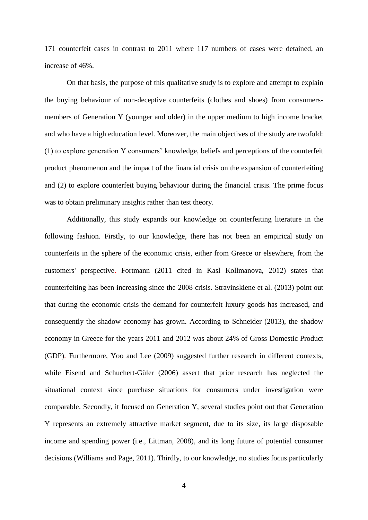171 counterfeit cases in contrast to 2011 where 117 numbers of cases were detained, an increase of 46%.

On that basis, the purpose of this qualitative study is to explore and attempt to explain the buying behaviour of non-deceptive counterfeits (clothes and shoes) from consumersmembers of Generation Y (younger and older) in the upper medium to high income bracket and who have a high education level. Moreover, the main objectives of the study are twofold: (1) to explore generation Y consumers' knowledge, beliefs and perceptions of the counterfeit product phenomenon and the impact of the financial crisis on the expansion of counterfeiting and (2) to explore counterfeit buying behaviour during the financial crisis. The prime focus was to obtain preliminary insights rather than test theory.

Additionally, this study expands our knowledge on counterfeiting literature in the following fashion. Firstly, to our knowledge, there has not been an empirical study on counterfeits in the sphere of the economic crisis, either from Greece or elsewhere, from the customers' perspective. Fortmann (2011 cited in Kasl Kollmanova, 2012) states that counterfeiting has been increasing since the 2008 crisis. Stravinskiene et al. (2013) point out that during the economic crisis the demand for counterfeit luxury goods has increased, and consequently the shadow economy has grown. According to Schneider (2013), the shadow economy in Greece for the years 2011 and 2012 was about 24% of Gross Domestic Product (GDP). Furthermore, Yoo and Lee (2009) suggested further research in different contexts, while Eisend and Schuchert-Güler (2006) assert that prior research has neglected the situational context since purchase situations for consumers under investigation were comparable. Secondly, it focused on Generation Y, several studies point out that Generation Y represents an extremely attractive market segment, due to its size, its large disposable income and spending power (i.e., Littman, 2008), and its long future of potential consumer decisions (Williams and Page, 2011). Thirdly, to our knowledge, no studies focus particularly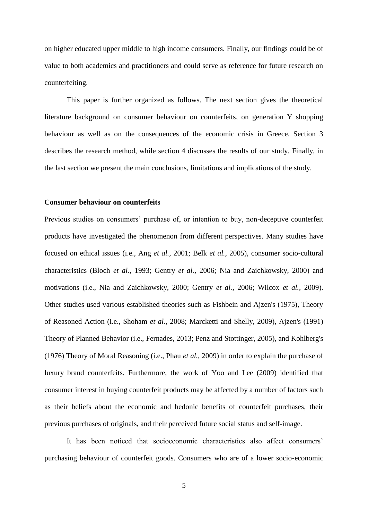on higher educated upper middle to high income consumers. Finally, our findings could be of value to both academics and practitioners and could serve as reference for future research on counterfeiting.

This paper is further organized as follows. The next section gives the theoretical literature background on consumer behaviour on counterfeits, on generation Y shopping behaviour as well as on the consequences of the economic crisis in Greece. Section 3 describes the research method, while section 4 discusses the results of our study. Finally, in the last section we present the main conclusions, limitations and implications of the study.

### **Consumer behaviour on counterfeits**

Previous studies on consumers' purchase of, or intention to buy, non-deceptive counterfeit products have investigated the phenomenon from different perspectives. Many studies have focused on ethical issues (i.e., Ang *et al.,* 2001; Belk *et al.,* 2005), consumer socio-cultural characteristics (Bloch *et al.,* 1993; Gentry *et al.,* 2006; Nia and Zaichkowsky, 2000) and motivations (i.e., Nia and Zaichkowsky, 2000; Gentry *et al.,* 2006; Wilcox *et al.,* 2009). Other studies used various established theories such as Fishbein and Ajzen's (1975), Theory of Reasoned Action (i.e., Shoham *et al.,* 2008; Marcketti and Shelly, 2009), Ajzen's (1991) Theory of Planned Behavior (i.e., Fernades, 2013; Penz and Stottinger, 2005), and Kohlberg's (1976) Theory of Moral Reasoning (i.e., Phau *et al.,* 2009) in order to explain the purchase of luxury brand counterfeits. Furthermore, the work of Yoo and Lee (2009) identified that consumer interest in buying counterfeit products may be affected by a number of factors such as their beliefs about the economic and hedonic benefits of counterfeit purchases, their previous purchases of originals, and their perceived future social status and self-image.

It has been noticed that socioeconomic characteristics also affect consumers' purchasing behaviour of counterfeit goods. Consumers who are of a lower socio-economic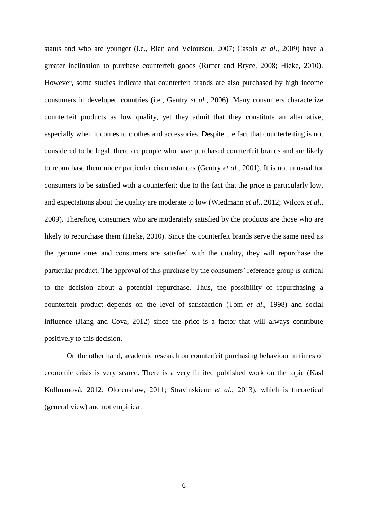status and who are younger (i.e., Bian and Veloutsou, 2007; Casola *et al*., 2009) have a greater inclination to purchase counterfeit goods (Rutter and Bryce, 2008; Hieke, 2010). However, some studies indicate that counterfeit brands are also purchased by high income consumers in developed countries (i.e., Gentry *et al.,* 2006). Many consumers characterize counterfeit products as low quality, yet they admit that they constitute an alternative, especially when it comes to clothes and accessories. Despite the fact that counterfeiting is not considered to be legal, there are people who have purchased counterfeit brands and are likely to repurchase them under particular circumstances (Gentry *et al.,* 2001). It is not unusual for consumers to be satisfied with a counterfeit; due to the fact that the price is particularly low, and expectations about the quality are moderate to low (Wiedmann *et al.,* 2012; Wilcox *et al.,* 2009). Therefore, consumers who are moderately satisfied by the products are those who are likely to repurchase them (Hieke, 2010). Since the counterfeit brands serve the same need as the genuine ones and consumers are satisfied with the quality, they will repurchase the particular product. The approval of this purchase by the consumers' reference group is critical to the decision about a potential repurchase. Thus, the possibility of repurchasing a counterfeit product depends on the level of satisfaction (Tom *et al*., 1998) and social influence (Jiang and Cova, 2012) since the price is a factor that will always contribute positively to this decision.

On the other hand, academic research on counterfeit purchasing behaviour in times of economic crisis is very scarce. There is a very limited published work on the topic (Kasl Kollmanová, 2012; Olorenshaw, 2011; Stravinskiene *et al.,* 2013), which is theoretical (general view) and not empirical.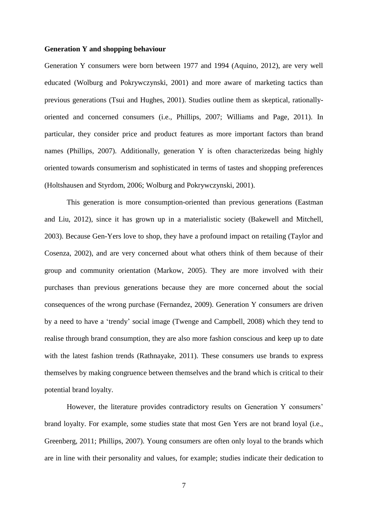## **Generation Y and shopping behaviour**

Generation Y consumers were born between 1977 and 1994 (Aquino, 2012), are very well educated (Wolburg and Pokrywczynski, 2001) and more aware of marketing tactics than previous generations (Tsui and Hughes, 2001). Studies outline them as skeptical, rationallyoriented and concerned consumers (i.e., Phillips, 2007; Williams and Page, 2011). In particular, they consider price and product features as more important factors than brand names (Phillips, 2007). Additionally, generation Y is often characterizedas being highly oriented towards consumerism and sophisticated in terms of tastes and shopping preferences (Holtshausen and Styrdom, 2006; Wolburg and Pokrywczynski, 2001).

This generation is more consumption-oriented than previous generations (Eastman and Liu, 2012), since it has grown up in a materialistic society (Bakewell and Mitchell, 2003). Because Gen-Yers love to shop, they have a profound impact on retailing (Taylor and Cosenza, 2002), and are very concerned about what others think of them because of their group and community orientation (Markow, 2005). They are more involved with their purchases than previous generations because they are more concerned about the social consequences of the wrong purchase (Fernandez, 2009). Generation Y consumers are driven by a need to have a 'trendy' social image (Twenge and Campbell, 2008) which they tend to realise through brand consumption, they are also more fashion conscious and keep up to date with the latest fashion trends (Rathnayake, 2011). These consumers use brands to express themselves by making congruence between themselves and the brand which is critical to their potential brand loyalty.

However, the literature provides contradictory results on Generation Y consumers' brand loyalty. For example, some studies state that most Gen Yers are not brand loyal (i.e., Greenberg, 2011; Phillips, 2007). Young consumers are often only loyal to the brands which are in line with their personality and values, for example; studies indicate their dedication to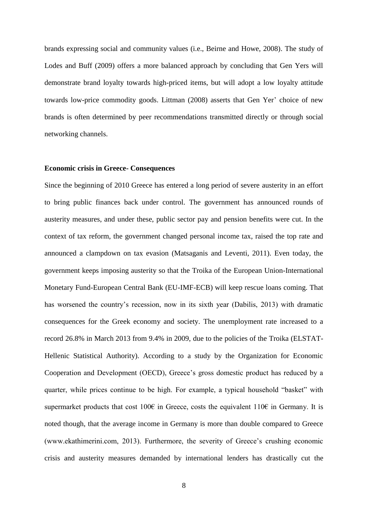brands expressing social and community values (i.e., Beirne and Howe, 2008). The study of Lodes and Buff (2009) offers a more balanced approach by concluding that Gen Yers will demonstrate brand loyalty towards high-priced items, but will adopt a low loyalty attitude towards low-price commodity goods. Littman (2008) asserts that Gen Yer' choice of new brands is often determined by peer recommendations transmitted directly or through social networking channels.

## **Economic crisis in Greece- Consequences**

Since the beginning of 2010 Greece has entered a long period of severe austerity in an effort to bring public finances back under control. The government has announced rounds of austerity measures, and under these, public sector pay and pension benefits were cut. In the context of tax reform, the government changed personal income tax, raised the top rate and announced a clampdown on tax evasion (Matsaganis and Leventi, 2011). Even today, the government keeps imposing austerity so that the Troika of the European Union-International Monetary Fund-European Central Bank (EU-IMF-ECB) will keep rescue loans coming. That has worsened the country's recession, now in its sixth year (Dabilis, 2013) with dramatic consequences for the Greek economy and society. The unemployment rate increased to a record 26.8% in March 2013 from 9.4% in 2009, due to the policies of the Troika (ELSTAT-Hellenic Statistical Authority). According to a study by the Organization for Economic Cooperation and Development (OECD), Greece's gross domestic product has reduced by a quarter, while prices continue to be high. For example, a typical household "basket" with supermarket products that cost 100€ in Greece, costs the equivalent 110€ in Germany. It is noted though, that the average income in Germany is more than double compared to Greece (www.ekathimerini.com, 2013). Furthermore, the severity of Greece's crushing economic crisis and austerity measures demanded by international lenders has drastically cut the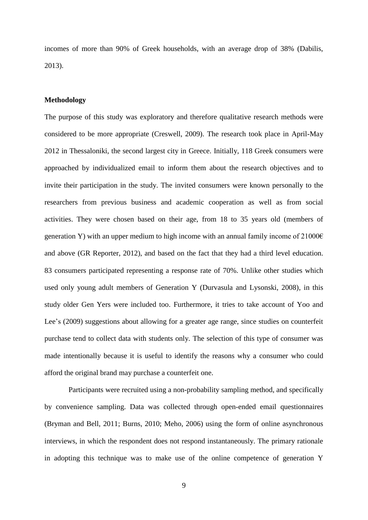incomes of more than 90% of Greek households, with an average drop of 38% (Dabilis, 2013).

## **Methodology**

The purpose of this study was exploratory and therefore qualitative research methods were considered to be more appropriate (Creswell, 2009). The research took place in April-May 2012 in Thessaloniki, the second largest city in Greece. Initially, 118 Greek consumers were approached by individualized email to inform them about the research objectives and to invite their participation in the study. The invited consumers were known personally to the researchers from previous business and academic cooperation as well as from social activities. They were chosen based on their age, from 18 to 35 years old (members of generation Y) with an upper medium to high income with an annual family income of  $21000\epsilon$ and above (GR Reporter, 2012), and based on the fact that they had a third level education. 83 consumers participated representing a response rate of 70%. Unlike other studies which used only young adult members of Generation Y (Durvasula and Lysonski, 2008), in this study older Gen Yers were included too. Furthermore, it tries to take account of Yoo and Lee's (2009) suggestions about allowing for a greater age range, since studies on counterfeit purchase tend to collect data with students only. The selection of this type of consumer was made intentionally because it is useful to identify the reasons why a consumer who could afford the original brand may purchase a counterfeit one.

Participants were recruited using a non-probability sampling method, and specifically by convenience sampling. Data was collected through open-ended email questionnaires (Bryman and Bell, 2011; Burns, 2010; Meho, 2006) using the form of online asynchronous interviews, in which the respondent does not respond instantaneously. The primary rationale in adopting this technique was to make use of the online competence of generation Y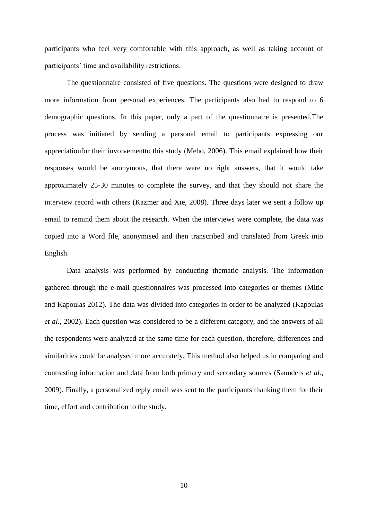participants who feel very comfortable with this approach, as well as taking account of participants' time and availability restrictions.

The questionnaire consisted of five questions. The questions were designed to draw more information from personal experiences. The participants also had to respond to 6 demographic questions. In this paper, only a part of the questionnaire is presented.The process was initiated by sending a personal email to participants expressing our appreciationfor their involvementto this study (Meho, 2006). This email explained how their responses would be anonymous, that there were no right answers, that it would take approximately 25-30 minutes to complete the survey, and that they should not share the interview record with others (Kazmer and Xie, 2008). Three days later we sent a follow up email to remind them about the research. When the interviews were complete, the data was copied into a Word file, anonymised and then transcribed and translated from Greek into English.

Data analysis was performed by conducting thematic analysis. The information gathered through the e-mail questionnaires was processed into categories or themes (Mitic and Kapoulas 2012). The data was divided into categories in order to be analyzed (Kapoulas *et al.,* 2002). Each question was considered to be a different category, and the answers of all the respondents were analyzed at the same time for each question, therefore, differences and similarities could be analysed more accurately. This method also helped us in comparing and contrasting information and data from both primary and secondary sources (Saunders *et al.,* 2009). Finally, a personalized reply email was sent to the participants thanking them for their time, effort and contribution to the study.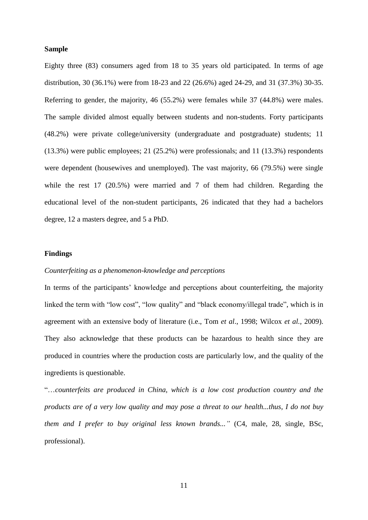## **Sample**

Eighty three (83) consumers aged from 18 to 35 years old participated. In terms of age distribution, 30 (36.1%) were from 18-23 and 22 (26.6%) aged 24-29, and 31 (37.3%) 30-35. Referring to gender, the majority, 46 (55.2%) were females while 37 (44.8%) were males. The sample divided almost equally between students and non-students. Forty participants (48.2%) were private college/university (undergraduate and postgraduate) students; 11 (13.3%) were public employees; 21 (25.2%) were professionals; and 11 (13.3%) respondents were dependent (housewives and unemployed). The vast majority, 66 (79.5%) were single while the rest 17 (20.5%) were married and 7 of them had children. Regarding the educational level of the non-student participants, 26 indicated that they had a bachelors degree, 12 a masters degree, and 5 a PhD.

# **Findings**

# *Counterfeiting as a phenomenon-knowledge and perceptions*

In terms of the participants' knowledge and perceptions about counterfeiting, the majority linked the term with "low cost", "low quality" and "black economy/illegal trade", which is in agreement with an extensive body of literature (i.e., Tom *et al*., 1998; Wilcox *et al.,* 2009). They also acknowledge that these products can be hazardous to health since they are produced in countries where the production costs are particularly low, and the quality of the ingredients is questionable.

"…*counterfeits are produced in China, which is a low cost production country and the products are of a very low quality and may pose a threat to our health...thus, I do not buy them and I prefer to buy original less known brands..."* (C4, male, 28, single, BSc, professional).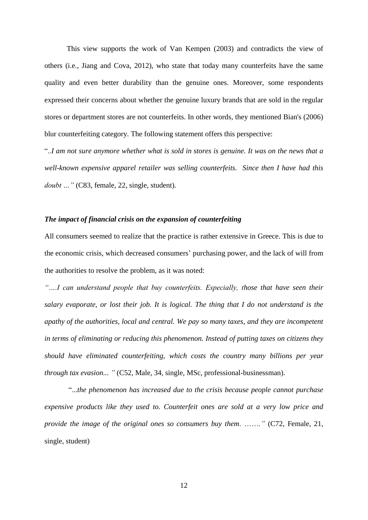This view supports the work of Van Kempen (2003) and contradicts the view of others (i.e., Jiang and Cova, 2012), who state that today many counterfeits have the same quality and even better durability than the genuine ones. Moreover, some respondents expressed their concerns about whether the genuine luxury brands that are sold in the regular stores or department stores are not counterfeits. In other words, they mentioned Bian's (2006) blur counterfeiting category. The following statement offers this perspective:

"..*I am not sure anymore whether what is sold in stores is genuine. It was on the news that a well-known expensive apparel retailer was selling counterfeits. Since then I have had this doubt …"* (C83, female, 22, single, student).

# *The impact of financial crisis on the expansion of counterfeiting*

All consumers seemed to realize that the practice is rather extensive in Greece. This is due to the economic crisis, which decreased consumers' purchasing power, and the lack of will from the authorities to resolve the problem, as it was noted:

*"….I can understand people that buy counterfeits. Especially, those that have seen their salary evaporate, or lost their job. It is logical. The thing that I do not understand is the apathy of the authorities, local and central. We pay so many taxes, and they are incompetent in terms of eliminating or reducing this phenomenon. Instead of putting taxes on citizens they should have eliminated counterfeiting, which costs the country many billions per year through tax evasion... "* (C52, Male, 34, single, MSc, professional-businessman).

"...*the phenomenon has increased due to the crisis because people cannot purchase expensive products like they used to. Counterfeit ones are sold at a very low price and provide the image of the original ones so consumers buy them*. ……*."* (C72, Female, 21, single, student)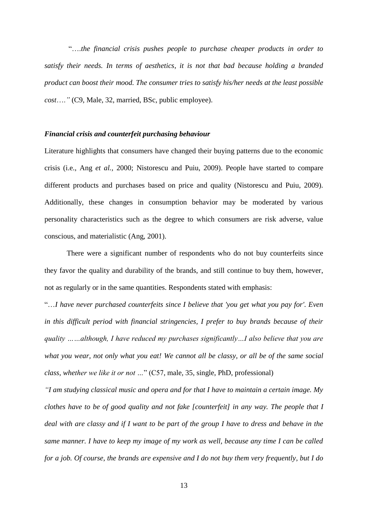"….*the financial crisis pushes people to purchase cheaper products in order to satisfy their needs. In terms of aesthetics, it is not that bad because holding a branded product can boost their mood. The consumer tries to satisfy his/her needs at the least possible cost*….*"* (C9, Male, 32, married, BSc, public employee).

# *Financial crisis and counterfeit purchasing behaviour*

Literature highlights that consumers have changed their buying patterns due to the economic crisis (i.e., Ang *et al.,* 2000; Nistorescu and Puiu, 2009). People have started to compare different products and purchases based on price and quality (Nistorescu and Puiu, 2009). Additionally, these changes in consumption behavior may be moderated by various personality characteristics such as the degree to which consumers are risk adverse, value conscious, and materialistic (Ang, 2001).

There were a significant number of respondents who do not buy counterfeits since they favor the quality and durability of the brands, and still continue to buy them, however, not as regularly or in the same quantities. Respondents stated with emphasis:

"…*I have never purchased counterfeits since I believe that 'you get what you pay for'. Even in this difficult period with financial stringencies, I prefer to buy brands because of their quality ……although, I have reduced my purchases significantly…I also believe that you are what you wear, not only what you eat! We cannot all be classy, or all be of the same social class, whether we like it or not …*" (C57, male, 35, single, PhD, professional)

*"I am studying classical music and opera and for that I have to maintain a certain image. My clothes have to be of good quality and not fake [counterfeit] in any way. The people that I deal with are classy and if I want to be part of the group I have to dress and behave in the same manner. I have to keep my image of my work as well, because any time I can be called for a job. Of course, the brands are expensive and I do not buy them very frequently, but I do*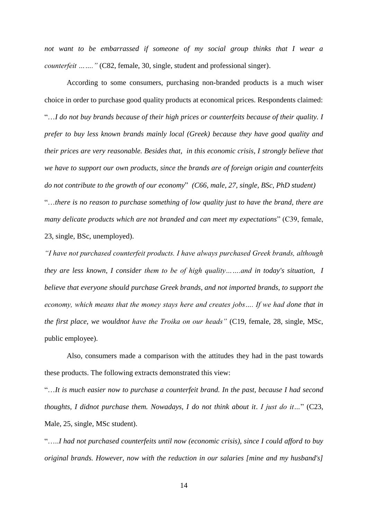not want to be embarrassed if someone of my social group thinks that I wear a *counterfeit ……..*" (C82, female, 30, single, student and professional singer).

According to some consumers, purchasing non-branded products is a much wiser choice in order to purchase good quality products at economical prices. Respondents claimed: "…*I do not buy brands because of their high prices or counterfeits because of their quality. I prefer to buy less known brands mainly local (Greek) because they have good quality and their prices are very reasonable. Besides that, in this economic crisis, I strongly believe that we have to support our own products, since the brands are of foreign origin and counterfeits do not contribute to the growth of our economy*" *(C66, male, 27, single, BSc, PhD student)* "…*there is no reason to purchase something of low quality just to have the brand, there are many delicate products which are not branded and can meet my expectations*" (C39, female, 23, single, BSc, unemployed).

*"I have not purchased counterfeit products. I have always purchased Greek brands, although they are less known, I consider them to be of high quality…….and in today's situation, I believe that everyone should purchase Greek brands, and not imported brands, to support the economy, which means that the money stays here and creates jobs…. If we had done that in the first place, we wouldnot have the Troika on our heads"* (C19, female, 28, single, MSc, public employee).

Also, consumers made a comparison with the attitudes they had in the past towards these products. The following extracts demonstrated this view:

"…*It is much easier now to purchase a counterfeit brand. In the past, because I had second thoughts, I didnot purchase them. Nowadays, I do not think about it*. *I just do it…*" (C23, Male, 25, single, MSc student).

"…..*I had not purchased counterfeits until now (economic crisis), since I could afford to buy original brands. However, now with the reduction in our salaries [mine and my husband's]*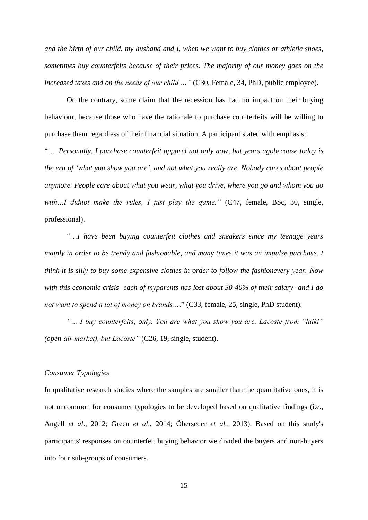*and the birth of our child, my husband and I, when we want to buy clothes or athletic shoes, sometimes buy counterfeits because of their prices. The majority of our money goes on the increased taxes and on the needs of our child …"* (C30, Female, 34, PhD, public employee).

On the contrary, some claim that the recession has had no impact on their buying behaviour, because those who have the rationale to purchase counterfeits will be willing to purchase them regardless of their financial situation. A participant stated with emphasis:

"…..*Personally*, *I purchase counterfeit apparel not only now, but years agobecause today is the era of 'what you show you are', and not what you really are. Nobody cares about people anymore. People care about what you wear, what you drive, where you go and whom you go*  with...*I* didnot make the rules, *I just play the game.*" (C47, female, BSc, 30, single, professional).

"…*I have been buying counterfeit clothes and sneakers since my teenage years mainly in order to be trendy and fashionable, and many times it was an impulse purchase. I think it is silly to buy some expensive clothes in order to follow the fashionevery year. Now with this economic crisis- each of myparents has lost about 30-40% of their salary- and I do not want to spend a lot of money on brands…*." (C33, female, 25, single, PhD student).

*"… I buy counterfeits, only. You are what you show you are. Lacoste from "laiki" (open-air market), but Lacoste"* (C26, 19, single, student).

#### *Consumer Typologies*

In qualitative research studies where the samples are smaller than the quantitative ones, it is not uncommon for consumer typologies to be developed based on qualitative findings (i.e., Angell *et al*., 2012; Green *et al*., 2014; Öberseder *et al.,* 2013). Based on this study's participants' responses on counterfeit buying behavior we divided the buyers and non-buyers into four sub-groups of consumers.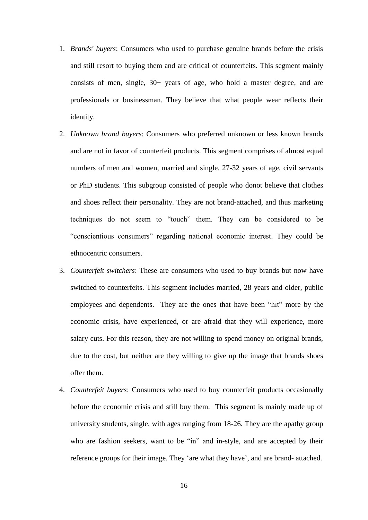- 1. *Brands' buyers*: Consumers who used to purchase genuine brands before the crisis and still resort to buying them and are critical of counterfeits. This segment mainly consists of men, single, 30+ years of age, who hold a master degree, and are professionals or businessman. They believe that what people wear reflects their identity.
- 2. *Unknown brand buyers*: Consumers who preferred unknown or less known brands and are not in favor of counterfeit products. This segment comprises of almost equal numbers of men and women, married and single, 27-32 years of age, civil servants or PhD students. This subgroup consisted of people who donot believe that clothes and shoes reflect their personality. They are not brand-attached, and thus marketing techniques do not seem to "touch" them. They can be considered to be "conscientious consumers" regarding national economic interest. They could be ethnocentric consumers.
- 3. *Counterfeit switchers*: These are consumers who used to buy brands but now have switched to counterfeits. This segment includes married, 28 years and older, public employees and dependents. They are the ones that have been "hit" more by the economic crisis, have experienced, or are afraid that they will experience, more salary cuts. For this reason, they are not willing to spend money on original brands, due to the cost, but neither are they willing to give up the image that brands shoes offer them.
- 4. *Counterfeit buyers*: Consumers who used to buy counterfeit products occasionally before the economic crisis and still buy them. This segment is mainly made up of university students, single, with ages ranging from 18-26. They are the apathy group who are fashion seekers, want to be "in" and in-style, and are accepted by their reference groups for their image. They 'are what they have', and are brand- attached.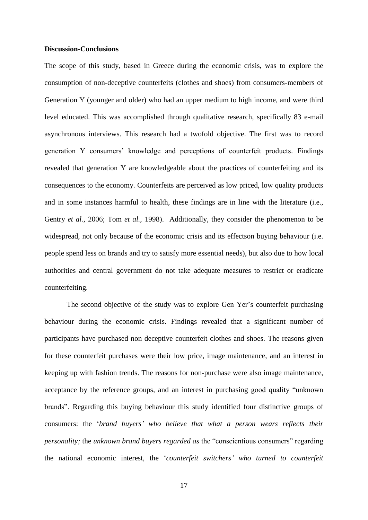### **Discussion-Conclusions**

The scope of this study, based in Greece during the economic crisis, was to explore the consumption of non-deceptive counterfeits (clothes and shoes) from consumers-members of Generation Y (younger and older) who had an upper medium to high income, and were third level educated. This was accomplished through qualitative research, specifically 83 e-mail asynchronous interviews. This research had a twofold objective. The first was to record generation Y consumers' knowledge and perceptions of counterfeit products. Findings revealed that generation Y are knowledgeable about the practices of counterfeiting and its consequences to the economy. Counterfeits are perceived as low priced, low quality products and in some instances harmful to health, these findings are in line with the literature (i.e., Gentry *et al.,* 2006; Tom *et al.,* 1998). Additionally, they consider the phenomenon to be widespread, not only because of the economic crisis and its effectson buying behaviour (i.e. people spend less on brands and try to satisfy more essential needs), but also due to how local authorities and central government do not take adequate measures to restrict or eradicate counterfeiting.

The second objective of the study was to explore Gen Yer's counterfeit purchasing behaviour during the economic crisis. Findings revealed that a significant number of participants have purchased non deceptive counterfeit clothes and shoes. The reasons given for these counterfeit purchases were their low price, image maintenance, and an interest in keeping up with fashion trends. The reasons for non-purchase were also image maintenance, acceptance by the reference groups, and an interest in purchasing good quality "unknown brands". Regarding this buying behaviour this study identified four distinctive groups of consumers: the '*brand buyers' who believe that what a person wears reflects their personality;* the *unknown brand buyers regarded as* the "conscientious consumers" regarding the national economic interest, the '*counterfeit switchers' who turned to counterfeit*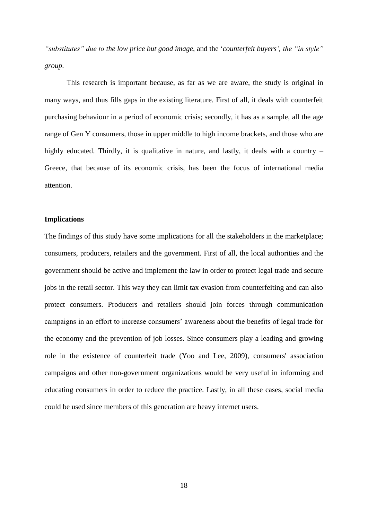*"substitutes" due to the low price but good image*, and the '*counterfeit buyers', the "in style" group*.

This research is important because, as far as we are aware, the study is original in many ways, and thus fills gaps in the existing literature. First of all, it deals with counterfeit purchasing behaviour in a period of economic crisis; secondly, it has as a sample, all the age range of Gen Y consumers, those in upper middle to high income brackets, and those who are highly educated. Thirdly, it is qualitative in nature, and lastly, it deals with a country – Greece, that because of its economic crisis, has been the focus of international media attention.

# **Implications**

The findings of this study have some implications for all the stakeholders in the marketplace; consumers, producers, retailers and the government. First of all, the local authorities and the government should be active and implement the law in order to protect legal trade and secure jobs in the retail sector. This way they can limit tax evasion from counterfeiting and can also protect consumers. Producers and retailers should join forces through communication campaigns in an effort to increase consumers' awareness about the benefits of legal trade for the economy and the prevention of job losses. Since consumers play a leading and growing role in the existence of counterfeit trade (Yoo and Lee, 2009), consumers' association campaigns and other non-government organizations would be very useful in informing and educating consumers in order to reduce the practice. Lastly, in all these cases, social media could be used since members of this generation are heavy internet users.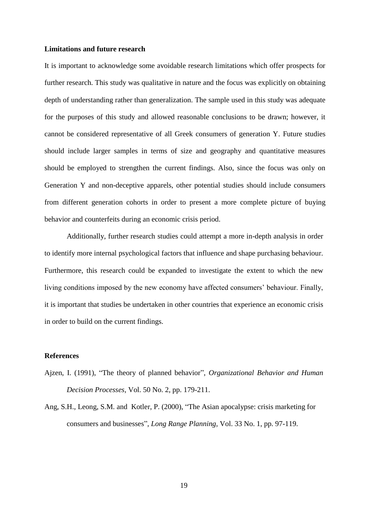## **Limitations and future research**

It is important to acknowledge some avoidable research limitations which offer prospects for further research. This study was qualitative in nature and the focus was explicitly on obtaining depth of understanding rather than generalization. The sample used in this study was adequate for the purposes of this study and allowed reasonable conclusions to be drawn; however, it cannot be considered representative of all Greek consumers of generation Y. Future studies should include larger samples in terms of size and geography and quantitative measures should be employed to strengthen the current findings. Also, since the focus was only on Generation Y and non-deceptive apparels, other potential studies should include consumers from different generation cohorts in order to present a more complete picture of buying behavior and counterfeits during an economic crisis period.

Additionally, further research studies could attempt a more in-depth analysis in order to identify more internal psychological factors that influence and shape purchasing behaviour. Furthermore, this research could be expanded to investigate the extent to which the new living conditions imposed by the new economy have affected consumers' behaviour. Finally, it is important that studies be undertaken in other countries that experience an economic crisis in order to build on the current findings.

## **References**

- Ajzen, I. (1991), "The theory of planned behavior", *Organizational Behavior and Human Decision Processes,* Vol. 50 No. 2, pp. 179-211.
- Ang, S.H., Leong, S.M. and Kotler, P. (2000), "The Asian apocalypse: crisis marketing for consumers and businesses", *Long Range Planning,* Vol. 33 No. 1, pp. 97-119.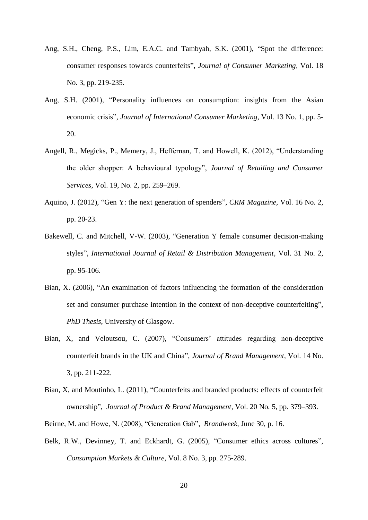- Ang, S.H., Cheng, P.S., Lim, E.A.C. and Tambyah, S.K. (2001), "Spot the difference: consumer responses towards counterfeits", *Journal of Consumer Marketing,* Vol. 18 No. 3, pp. 219-235.
- Ang, S.H. (2001), "Personality influences on consumption: insights from the Asian economic crisis", *Journal of International Consumer Marketing,* Vol. 13 No. 1, pp. 5- 20.
- Angell, R., Megicks, P., Memery, J., Heffernan, T. and Howell, K. (2012), "Understanding the older shopper: A behavioural typology", *Journal of Retailing and Consumer Services*, Vol. 19, No. 2, pp. 259–269.
- Aquino, J. (2012), "Gen Y: the next generation of spenders", *CRM Magazine,* Vol. 16 No*.* 2, pp. 20-23.
- Bakewell, C. and Mitchell, V-W. (2003), "Generation Y female consumer decision-making styles", *International Journal of Retail & Distribution Management,* Vol. 31 No. 2, pp. 95-106.
- Bian, X. (2006), "An examination of factors influencing the formation of the consideration set and consumer purchase intention in the context of non-deceptive counterfeiting", *PhD Thesis*, University of Glasgow.
- Bian, X, and Veloutsou, C. (2007), "Consumers' attitudes regarding non-deceptive counterfeit brands in the UK and China", *Journal of Brand Management,* Vol. 14 No. 3, pp. 211-222.
- Bian, X, and Moutinho, L. (2011), "Counterfeits and branded products: effects of counterfeit ownership", *Journal of Product & Brand Management,* Vol. 20 No*.* 5, pp. 379–393.
- Beirne, M. and Howe, N. (2008), "Generation Gab", *Brandweek*, June 30, p. 16.
- Belk, R.W., Devinney, T. and Eckhardt, G. (2005), "Consumer ethics across cultures", *Consumption Markets & Culture,* Vol. 8 No. 3, pp. 275-289.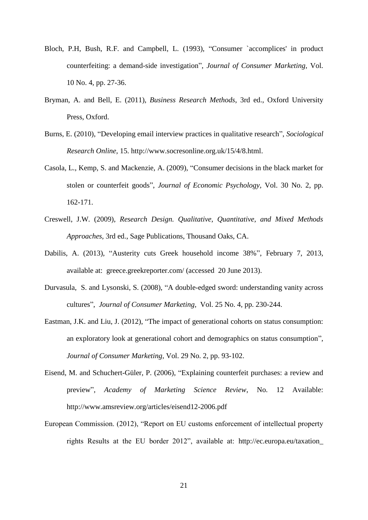- Bloch, P.H, Bush, R.F. and Campbell, L. (1993), "Consumer `accomplices' in product counterfeiting: a demand-side investigation", *Journal of Consumer Marketing,* Vol. 10 No. 4, pp. 27-36.
- Bryman, A. and Bell, E. (2011), *Business Research Methods*, 3rd ed., Oxford University Press, Oxford.
- Burns, E. (2010), "Developing email interview practices in qualitative research", *Sociological Research Online*, 15. [http://www.socresonline.org.uk/15/4/8.html.](http://www.socresonline.org.uk/15/4/8.html)
- Casola, L., Kemp, S. and Mackenzie, A. (2009), "Consumer decisions in the black market for stolen or counterfeit goods", *Journal of Economic Psychology,* Vol. 30 No. 2, pp. 162-171.
- Creswell, J.W. (2009), *Research Design. Qualitative, Quantitative, and Mixed Methods Approaches,* 3rd ed., Sage Publications, Thousand Oaks, CA.
- [Dabilis,](http://greece.greekreporter.com/author/andy/) A. (2013), "Austerity cuts Greek household income 38%", February 7, 2013*,*  available at: greece.greekreporter.com/ (accessed 20 June 2013).
- Durvasula, S. and Lysonski, S. (2008), "A double-edged sword: understanding vanity across cultures", *Journal of Consumer Marketing,* Vol. 25 No. 4, pp. 230-244.
- Eastman, J.K. and Liu, J. (2012), "The impact of generational cohorts on status consumption: an exploratory look at generational cohort and demographics on status consumption", *Journal of Consumer Marketing,* Vol. 29 No. 2, pp. 93-102.
- Eisend, M. and Schuchert-Güler, P. (2006), "Explaining counterfeit purchases: a review and preview", *Academy of Marketing Science Review*, No. 12 Available: <http://www.amsreview.org/articles/eisend12-2006.pdf>
- European Commission. (2012), "Report on EU customs enforcement of intellectual property rights Results at the EU border 2012", available at: [http://ec.europa.eu/taxation\\_](http://ec.europa.eu/taxation_customs/resources/documents/customs/customs_controls/counterfeit_piracy/statistics/2013_ipr_statistics_en.pdf)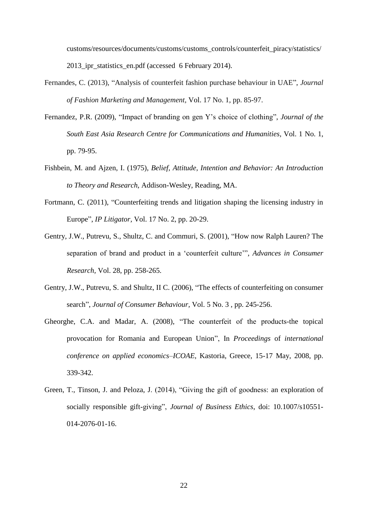[customs/resources/documents/customs/customs\\_controls/counterfeit\\_piracy/statistics/](http://ec.europa.eu/taxation_customs/resources/documents/customs/customs_controls/counterfeit_piracy/statistics/2013_ipr_statistics_en.pdf) 2013 ipr\_statistics\_en.pdf (accessed 6 February 2014).

- Fernandes, C. (2013), "Analysis of counterfeit fashion purchase behaviour in UAE", *Journal of Fashion Marketing and Management,* Vol. 17 No. 1, pp. 85-97.
- Fernandez, P.R. (2009), "Impact of branding on gen Y's choice of clothing", *Journal of the South East Asia Research Centre for Communications and Humanities,* Vol. 1 No. 1, pp. 79-95.
- Fishbein, M. and Ajzen, I. (1975), *Belief, Attitude, Intention and Behavior: An Introduction to Theory and Research*, Addison-Wesley, Reading, MA.
- Fortmann, C. (2011), "Counterfeiting trends and litigation shaping the licensing industry in Europe", *IP Litigator,* Vol. 17 No. 2, pp. 20-29.
- Gentry, J.W., Putrevu, S., Shultz, C. and Commuri, S. (2001), "How now Ralph Lauren? The separation of brand and product in a 'counterfeit culture'", *Advances in Consumer Research,* Vol. 28, pp. 258-265.
- Gentry, J.W., Putrevu, S. and Shultz, II C. (2006), "The effects of counterfeiting on consumer search", *Journal of Consumer Behaviour,* Vol. 5 No. 3 , pp. 245-256.
- Gheorghe, C.A. and Madar, A. (2008), "The counterfeit of the products-the topical provocation for Romania and European Union", In *Proceedings* of *international conference on applied economics–ICOAE*, Kastoria, Greece, 15-17 May, 2008, pp. 339-342.
- Green, T., Tinson, J. and Peloza, J. (2014), "Giving the gift of goodness: an exploration of socially responsible gift-giving", *Journal of Business Ethics*, doi: 10.1007/s10551- 014-2076-01-16.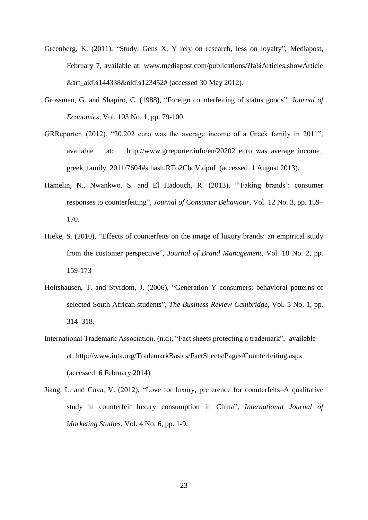- Greenberg, K. (2011), "Study: Gens X, Y rely on research, less on loyalty", Mediapost, February 7, available at: www.mediapost.com/publications/?fa¼Articles.showArticle &art\_aid¼144338&nid¼123452# (accessed 30 May 2012).
- Grossman, G. and Shapiro, C. (1988), "Foreign counterfeiting of status goods", *Journal of Economics,* Vol. 103 No. 1, pp. 79-100.
- GRReporter. (2012), "20,202 euro was the average income of a Greek family in 2011", available at: http://www.grreporter.info/en/20202 euro was average income greek\_family\_2011/7604#sthash.RTo2CbdV.dpuf (accessed 1 August 2013).
- Hamelin, N., Nwankwo, S. and El Hadouch, R. (2013), "'Faking brands': consumer responses to counterfeiting", *Journal of Consumer Behaviour,* Vol. 12 No. 3, pp. 159– 170.
- Hieke, S. (2010), "Effects of counterfeits on the image of luxury brands: an empirical study from the customer perspective", *Journal of Brand Management,* Vol. 18 No. 2, pp. 159-173
- Holtshausen, T. and Styrdom, J. (2006), "Generation Y consumers: behavioral patterns of selected South African students", *The Business Review Cambridge,* Vol. 5 No. 1, pp. 314–318.
- International Trademark Association. (n.d), "Fact sheets protecting a trademark", available at:<http://www.inta.org/TrademarkBasics/FactSheets/Pages/Counterfeiting.aspx> (accessed 6 February 2014)
- Jiang, L. and Cova, V. (2012), "Love for luxury, preference for counterfeits–A qualitative study in counterfeit luxury consumption in China", *International Journal of Marketing Studies,* Vol. 4 No. 6, pp. 1-9.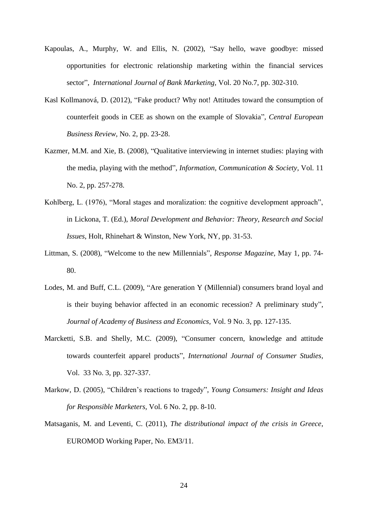- Kapoulas, A., Murphy, W. and Ellis, N. (2002), "Say hello, wave goodbye: missed opportunities for electronic relationship marketing within the financial services sector", *International Journal of Bank Marketing,* Vol. 20 No.7, pp. 302-310.
- Kasl Kollmanová, D. (2012), "Fake product? Why not! Attitudes toward the consumption of counterfeit goods in CEE as shown on the example of Slovakia", *Central European Business Review,* No. 2, pp. 23-28.
- Kazmer, M.M. and Xie, B. (2008), "Qualitative interviewing in internet studies: playing with the media, playing with the method", *Information, Communication & Society,* Vol. 11 No. 2, pp. 257-278.
- Kohlberg, L. (1976), "Moral stages and moralization: the cognitive development approach", in Lickona, T. (Ed.), *Moral Development and Behavior: Theory, Research and Social Issues*, Holt, Rhinehart & Winston, New York, NY, pp. 31-53.
- Littman, S. (2008), "Welcome to the new Millennials", *Response Magazine*, May 1, pp. 74- 80.
- Lodes, M. and Buff, C.L. (2009), "Are generation Y (Millennial) consumers brand loyal and is their buying behavior affected in an economic recession? A preliminary study", *Journal of Academy of Business and Economics,* Vol. 9 No. 3, pp. 127-135.
- Marcketti, S.B. and Shelly, M.C. (2009), "Consumer concern, knowledge and attitude towards counterfeit apparel products", *International Journal of Consumer Studies,* Vol. 33 No. 3, pp. 327-337.
- Markow, D. (2005), "Children's reactions to tragedy", *Young Consumers: Insight and Ideas for Responsible Marketers,* Vol. 6 No. 2, pp. 8-10.
- Matsaganis, M. and Leventi, C. (2011), *The distributional impact of the crisis in Greece*, EUROMOD Working Paper, No. EM3/11.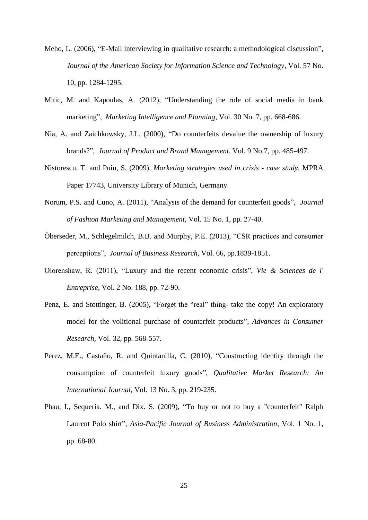- Meho, L. (2006), "E-Mail interviewing in qualitative research: a methodological discussion", *Journal of the American Society for Information Science and Technology,* Vol. 57 No. 10, pp. 1284-1295.
- Mitic, M. and Kapoulas, A. (2012), "Understanding the role of social media in bank marketing", *Marketing Intelligence and Planning,* Vol. 30 No. 7, pp. 668-686.
- Nia, A. and Zaichkowsky, J.L. (2000), "Do counterfeits devalue the ownership of luxury brands?", *Journal of Product and Brand Management,* Vol. 9 No.7, pp. 485-497.
- Nistorescu, T. and Puiu, S. (2009), *Marketing strategies used in crisis - case study*, MPRA Paper 17743, University Library of Munich, Germany.
- Norum, P.S. and Cuno, A. (2011), "Analysis of the demand for counterfeit goods", *Journal of Fashion Marketing and Management,* Vol. 15 No. 1, pp. 27-40.
- Öberseder, M., Schlegelmilch, B.B. and Murphy, P.E. (2013), "CSR practices and consumer perceptions", *Journal of Business Research,* Vol. 66, pp.1839-1851.
- Olorenshaw, R. (2011), "Luxury and the recent economic crisis", *Vie & Sciences de l' Entreprise,* Vol. 2 No. 188, pp. 72-90.
- Penz, E. and Stottinger, B. (2005), "Forget the "real" thing- take the copy! An exploratory model for the volitional purchase of counterfeit products", *Advances in Consumer Research,* Vol. 32, pp*.* 568-557.
- Perez, M.E., Castaño, R. and Quintanilla, C. (2010), "Constructing identity through the consumption of counterfeit luxury goods", *Qualitative Market Research: An International Journal,* Vol. 13 No. 3, pp. 219-235.
- Phau, I., Sequeria. M., and Dix. S. (2009), "To buy or not to buy a "counterfeit" Ralph Laurent Polo shirt", *Asia-Pacific Journal of Business Administration,* Vol. 1 No. 1, pp. 68-80.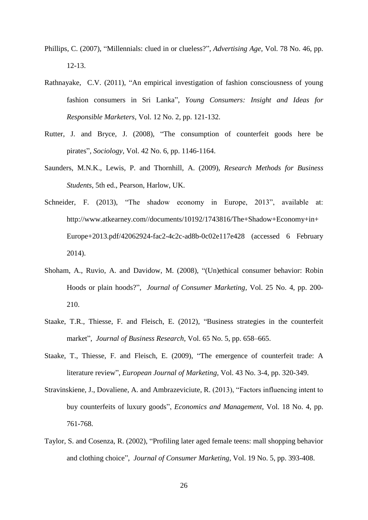- Phillips, C. (2007), "Millennials: clued in or clueless?", *Advertising Age,* Vol. 78 No. 46, pp. 12-13.
- Rathnayake, C.V. (2011), "An empirical investigation of fashion consciousness of young fashion consumers in Sri Lanka", *Young Consumers: Insight and Ideas for Responsible Marketers,* Vol. 12 No. 2, pp. 121-132.
- Rutter, J. and Bryce, J. (2008), "The consumption of counterfeit goods here be pirates", *Sociology,* Vol. 42 No. 6, pp. 1146-1164.
- Saunders, M.N.K., Lewis, P. and Thornhill, A. (2009), *Research Methods for Business Students*, 5th ed., Pearson, Harlow, UK.
- Schneider, F. (2013), "The shadow economy in Europe, 2013", available at: http://www.atkearney.com//documents/10192/1743816/The+Shadow+Economy+in+ Europe+2013.pdf/42062924-fac2-4c2c-ad8b-0c02e117e428 (accessed 6 February 2014).
- Shoham, A., Ruvio, A. and Davidow, M. (2008), "(Un)ethical consumer behavior: Robin Hoods or plain hoods?", *Journal of Consumer Marketing,* Vol. 25 No. 4, pp. 200- 210.
- Staake, T.R., Thiesse, F. and Fleisch, E. (2012), "Business strategies in the counterfeit market", *Journal of Business Research,* Vol. 65 No. 5, pp. 658–665.
- Staake, T., Thiesse, F. and Fleisch, E. (2009), "The emergence of counterfeit trade: A literature review", *European Journal of Marketing,* Vol. 43 No. 3-4, pp. 320-349.
- Stravinskiene, J., Dovaliene, A. and Ambrazeviciute, R. (2013), "Factors influencing intent to buy counterfeits of luxury goods", *Economics and Management*, Vol. 18 No. 4, pp. 761-768.
- Taylor, S. and Cosenza, R. (2002), "Profiling later aged female teens: mall shopping behavior and clothing choice", *Journal of Consumer Marketing,* Vol. 19 No. 5, pp. 393-408.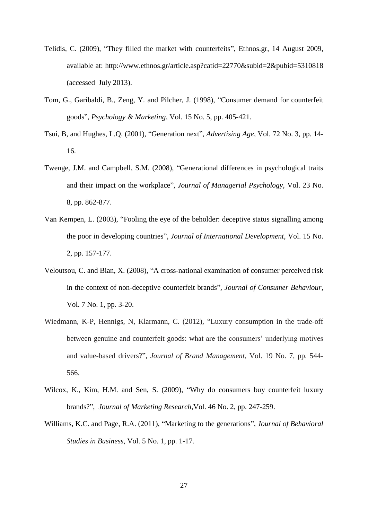- Telidis, C. (2009), "They filled the market with counterfeits", Ethnos.gr, 14 August 2009, available at: <http://www.ethnos.gr/article.asp?catid=22770&subid=2&pubid=5310818> (accessed July 2013).
- Tom, G., Garibaldi, B., Zeng, Y. and Pilcher, J. (1998), "Consumer demand for counterfeit goods", *Psychology & Marketing,* Vol. 15 No. 5, pp. 405-421.
- Tsui, B, and Hughes, L.Q. (2001), "Generation next", *Advertising Age,* Vol. 72 No. 3, pp. 14- 16.
- Twenge, J.M. and Campbell, S.M. (2008), "Generational differences in psychological traits and their impact on the workplace", *Journal of Managerial Psychology,* Vol. 23 No. 8, pp. 862-877.
- Van Kempen, L. (2003), "Fooling the eye of the beholder: deceptive status signalling among the poor in developing countries", *Journal of International Development*, Vol. 15 No. 2, pp. 157-177.
- Veloutsou, C. and Bian, X. (2008), "A cross-national examination of consumer perceived risk in the context of non-deceptive counterfeit brands", *Journal of Consumer Behaviour,* Vol. 7 No. 1, pp. 3-20.
- Wiedmann, K-P, Hennigs, N, Klarmann, C. (2012), "Luxury consumption in the trade-off between genuine and counterfeit goods: what are the consumers' underlying motives and value-based drivers?", *Journal of Brand Management,* Vol. 19 No. 7, pp. 544- 566.
- Wilcox, K., Kim, H.M. and Sen, S. (2009), "Why do consumers buy counterfeit luxury brands?", *Journal of Marketing Research,*Vol. 46 No. 2, pp. 247-259.
- Williams, K.C. and Page, R.A. (2011), "Marketing to the generations", *Journal of Behavioral Studies in Business,* Vol. 5 No. 1, pp. 1-17.